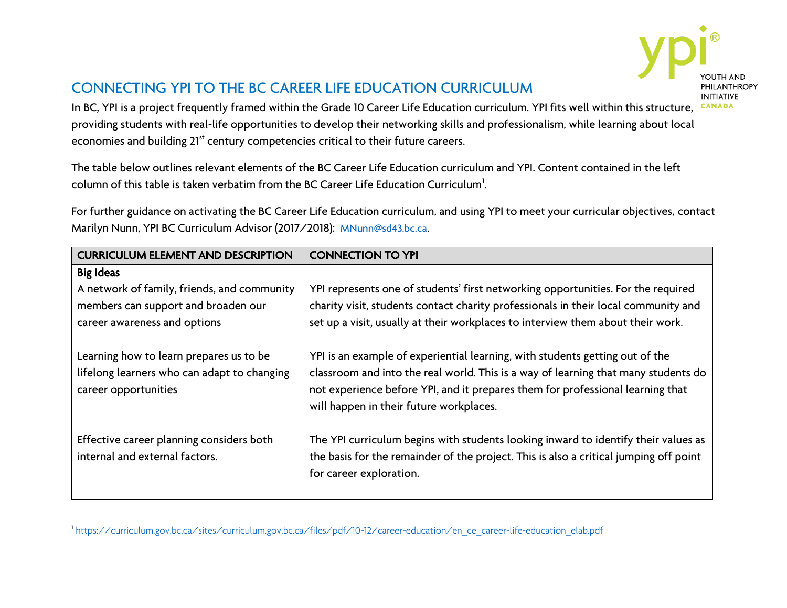

## CONNECTING YPI TO THE BC CAREER LIFE EDUCATION CURRICULUM

In BC, YPI is a project frequently framed within the Grade 10 Career Life Education curriculum. YPI fits well within this structure, providing students with real-life opportunities to develop their networking skills and professionalism, while learning about local economies and building 21<sup>st</sup> century competencies critical to their future careers.

The table below outlines relevant elements of the BC Career Life Education curriculum and YPI. Content contained in the left column of this table is taken verbatim from the BC Career Life Education Curriculum $\cdot$ .

For further guidance on activating the BC Career Life Education curriculum, and using YPI to meet your curricular objectives, contact Marilyn Nunn, YPI BC Curriculum Advisor (2017/2018): [MNunn@sd43.bc.ca.](mailto:MNunn@sd43.bc.ca)

| <b>CURRICULUM ELEMENT AND DESCRIPTION</b>   | <b>CONNECTION TO YPI</b>                                                              |
|---------------------------------------------|---------------------------------------------------------------------------------------|
| <b>Big Ideas</b>                            |                                                                                       |
| A network of family, friends, and community | YPI represents one of students' first networking opportunities. For the required      |
| members can support and broaden our         | charity visit, students contact charity professionals in their local community and    |
| career awareness and options                | set up a visit, usually at their workplaces to interview them about their work.       |
|                                             |                                                                                       |
| Learning how to learn prepares us to be     | YPI is an example of experiential learning, with students getting out of the          |
| lifelong learners who can adapt to changing | classroom and into the real world. This is a way of learning that many students do    |
| career opportunities                        | not experience before YPI, and it prepares them for professional learning that        |
|                                             | will happen in their future workplaces.                                               |
|                                             |                                                                                       |
| Effective career planning considers both    | The YPI curriculum begins with students looking inward to identify their values as    |
| internal and external factors.              | the basis for the remainder of the project. This is also a critical jumping off point |
|                                             | for career exploration.                                                               |
|                                             |                                                                                       |

<sup>1</sup> [https://curriculum.gov.bc.ca/sites/curriculum.gov.bc.ca/files/pdf/10-12/career-education/en\\_ce\\_career-life-education\\_elab.pdf](https://curriculum.gov.bc.ca/sites/curriculum.gov.bc.ca/files/pdf/10-12/career-education/en_ce_career-life-education_elab.pdf)

 $\overline{a}$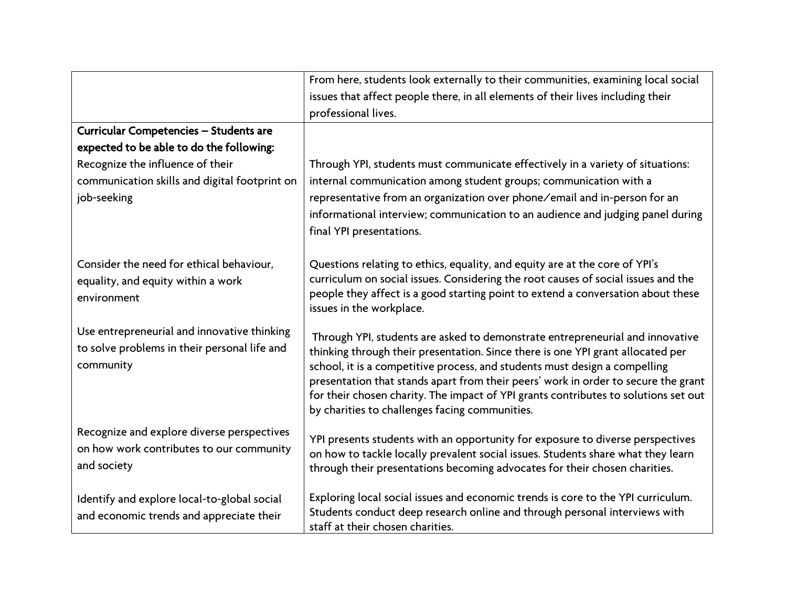|                                                                                                          | From here, students look externally to their communities, examining local social                                                                                                                                                                                                                                                                                                                                                                                              |
|----------------------------------------------------------------------------------------------------------|-------------------------------------------------------------------------------------------------------------------------------------------------------------------------------------------------------------------------------------------------------------------------------------------------------------------------------------------------------------------------------------------------------------------------------------------------------------------------------|
|                                                                                                          | issues that affect people there, in all elements of their lives including their                                                                                                                                                                                                                                                                                                                                                                                               |
|                                                                                                          | professional lives.                                                                                                                                                                                                                                                                                                                                                                                                                                                           |
| Curricular Competencies - Students are                                                                   |                                                                                                                                                                                                                                                                                                                                                                                                                                                                               |
| expected to be able to do the following:                                                                 |                                                                                                                                                                                                                                                                                                                                                                                                                                                                               |
| Recognize the influence of their                                                                         | Through YPI, students must communicate effectively in a variety of situations:                                                                                                                                                                                                                                                                                                                                                                                                |
| communication skills and digital footprint on                                                            | internal communication among student groups; communication with a                                                                                                                                                                                                                                                                                                                                                                                                             |
| job-seeking                                                                                              | representative from an organization over phone/email and in-person for an                                                                                                                                                                                                                                                                                                                                                                                                     |
|                                                                                                          | informational interview; communication to an audience and judging panel during<br>final YPI presentations.                                                                                                                                                                                                                                                                                                                                                                    |
| Consider the need for ethical behaviour,<br>equality, and equity within a work<br>environment            | Questions relating to ethics, equality, and equity are at the core of YPI's<br>curriculum on social issues. Considering the root causes of social issues and the<br>people they affect is a good starting point to extend a conversation about these<br>issues in the workplace.                                                                                                                                                                                              |
| Use entrepreneurial and innovative thinking<br>to solve problems in their personal life and<br>community | Through YPI, students are asked to demonstrate entrepreneurial and innovative<br>thinking through their presentation. Since there is one YPI grant allocated per<br>school, it is a competitive process, and students must design a compelling<br>presentation that stands apart from their peers' work in order to secure the grant<br>for their chosen charity. The impact of YPI grants contributes to solutions set out<br>by charities to challenges facing communities. |
| Recognize and explore diverse perspectives<br>on how work contributes to our community<br>and society    | YPI presents students with an opportunity for exposure to diverse perspectives<br>on how to tackle locally prevalent social issues. Students share what they learn<br>through their presentations becoming advocates for their chosen charities.                                                                                                                                                                                                                              |
| Identify and explore local-to-global social<br>and economic trends and appreciate their                  | Exploring local social issues and economic trends is core to the YPI curriculum.<br>Students conduct deep research online and through personal interviews with<br>staff at their chosen charities.                                                                                                                                                                                                                                                                            |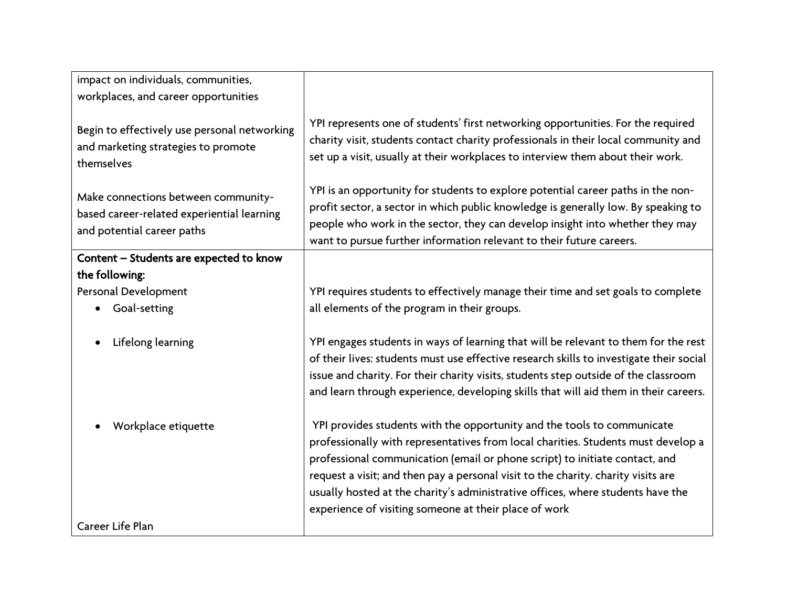| impact on individuals, communities,                                                                             |                                                                                                                                                                                                                                                                                                                                                                                                                                                                              |
|-----------------------------------------------------------------------------------------------------------------|------------------------------------------------------------------------------------------------------------------------------------------------------------------------------------------------------------------------------------------------------------------------------------------------------------------------------------------------------------------------------------------------------------------------------------------------------------------------------|
| workplaces, and career opportunities                                                                            |                                                                                                                                                                                                                                                                                                                                                                                                                                                                              |
| Begin to effectively use personal networking<br>and marketing strategies to promote<br>themselves               | YPI represents one of students' first networking opportunities. For the required<br>charity visit, students contact charity professionals in their local community and<br>set up a visit, usually at their workplaces to interview them about their work.                                                                                                                                                                                                                    |
| Make connections between community-<br>based career-related experiential learning<br>and potential career paths | YPI is an opportunity for students to explore potential career paths in the non-<br>profit sector, a sector in which public knowledge is generally low. By speaking to<br>people who work in the sector, they can develop insight into whether they may<br>want to pursue further information relevant to their future careers.                                                                                                                                              |
| Content - Students are expected to know                                                                         |                                                                                                                                                                                                                                                                                                                                                                                                                                                                              |
| the following:                                                                                                  |                                                                                                                                                                                                                                                                                                                                                                                                                                                                              |
| Personal Development                                                                                            | YPI requires students to effectively manage their time and set goals to complete                                                                                                                                                                                                                                                                                                                                                                                             |
| Goal-setting                                                                                                    | all elements of the program in their groups.                                                                                                                                                                                                                                                                                                                                                                                                                                 |
| Lifelong learning                                                                                               | YPI engages students in ways of learning that will be relevant to them for the rest<br>of their lives: students must use effective research skills to investigate their social<br>issue and charity. For their charity visits, students step outside of the classroom<br>and learn through experience, developing skills that will aid them in their careers.                                                                                                                |
| Workplace etiquette                                                                                             | YPI provides students with the opportunity and the tools to communicate<br>professionally with representatives from local charities. Students must develop a<br>professional communication (email or phone script) to initiate contact, and<br>request a visit; and then pay a personal visit to the charity. charity visits are<br>usually hosted at the charity's administrative offices, where students have the<br>experience of visiting someone at their place of work |
| Career Life Plan                                                                                                |                                                                                                                                                                                                                                                                                                                                                                                                                                                                              |